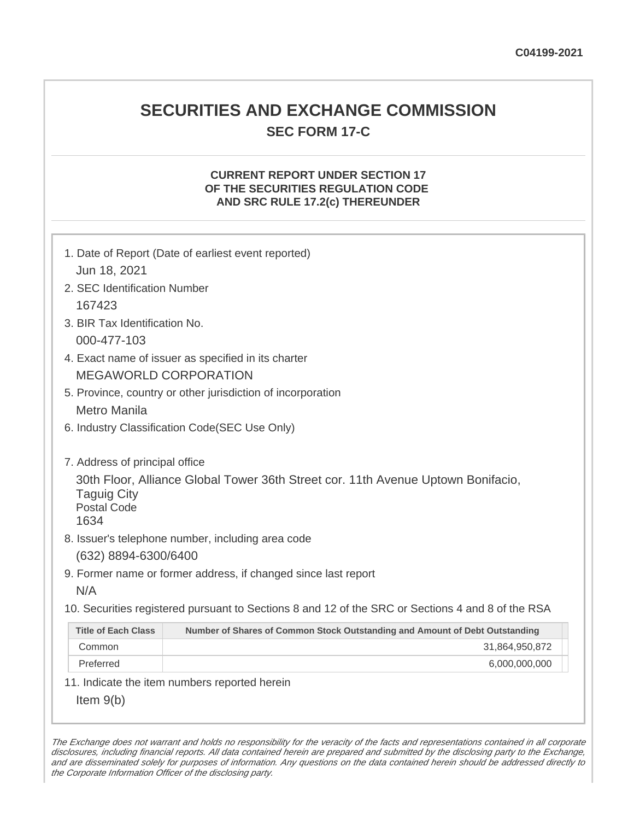# **SECURITIES AND EXCHANGE COMMISSION SEC FORM 17-C**

## **CURRENT REPORT UNDER SECTION 17 OF THE SECURITIES REGULATION CODE AND SRC RULE 17.2(c) THEREUNDER**

| 1. Date of Report (Date of earliest event reported)<br>Jun 18, 2021                                                                                                    |                                                                             |  |
|------------------------------------------------------------------------------------------------------------------------------------------------------------------------|-----------------------------------------------------------------------------|--|
| 2. SEC Identification Number                                                                                                                                           |                                                                             |  |
| 167423                                                                                                                                                                 |                                                                             |  |
| 3. BIR Tax Identification No.                                                                                                                                          |                                                                             |  |
| 000-477-103                                                                                                                                                            |                                                                             |  |
| 4. Exact name of issuer as specified in its charter                                                                                                                    |                                                                             |  |
| <b>MEGAWORLD CORPORATION</b>                                                                                                                                           |                                                                             |  |
| 5. Province, country or other jurisdiction of incorporation                                                                                                            |                                                                             |  |
| <b>Metro Manila</b>                                                                                                                                                    |                                                                             |  |
| 6. Industry Classification Code(SEC Use Only)                                                                                                                          |                                                                             |  |
|                                                                                                                                                                        |                                                                             |  |
| 7. Address of principal office<br>30th Floor, Alliance Global Tower 36th Street cor. 11th Avenue Uptown Bonifacio,<br><b>Taguig City</b><br><b>Postal Code</b><br>1634 |                                                                             |  |
| 8. Issuer's telephone number, including area code                                                                                                                      |                                                                             |  |
| (632) 8894-6300/6400                                                                                                                                                   |                                                                             |  |
| 9. Former name or former address, if changed since last report                                                                                                         |                                                                             |  |
| N/A                                                                                                                                                                    |                                                                             |  |
| 10. Securities registered pursuant to Sections 8 and 12 of the SRC or Sections 4 and 8 of the RSA                                                                      |                                                                             |  |
| <b>Title of Each Class</b>                                                                                                                                             | Number of Shares of Common Stock Outstanding and Amount of Debt Outstanding |  |
| Common                                                                                                                                                                 | 31,864,950,872                                                              |  |
| Preferred                                                                                                                                                              | 6,000,000,000                                                               |  |
| 11. Indicate the item numbers reported herein                                                                                                                          |                                                                             |  |
| Item $9(b)$                                                                                                                                                            |                                                                             |  |

The Exchange does not warrant and holds no responsibility for the veracity of the facts and representations contained in all corporate disclosures, including financial reports. All data contained herein are prepared and submitted by the disclosing party to the Exchange, and are disseminated solely for purposes of information. Any questions on the data contained herein should be addressed directly to the Corporate Information Officer of the disclosing party.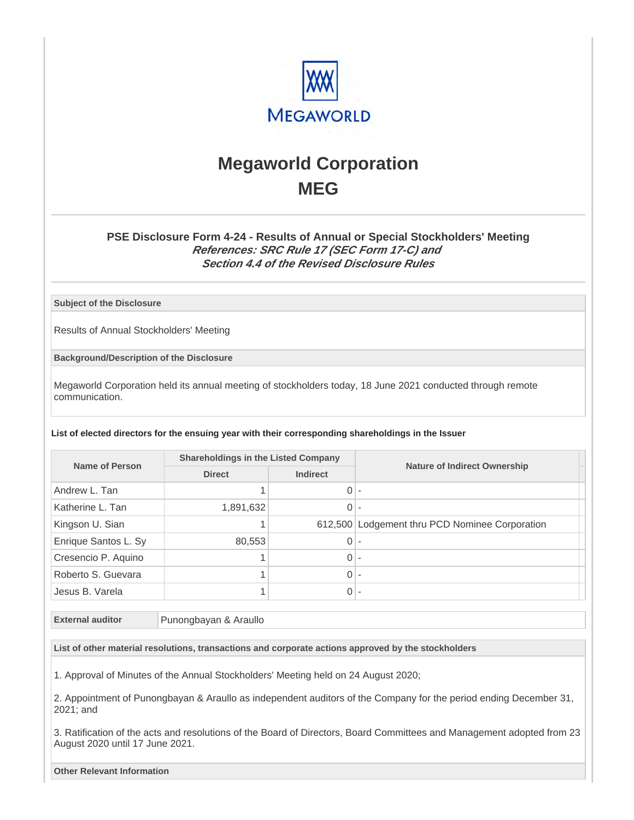

# **Megaworld Corporation MEG**

### **PSE Disclosure Form 4-24 - Results of Annual or Special Stockholders' Meeting References: SRC Rule 17 (SEC Form 17-C) and Section 4.4 of the Revised Disclosure Rules**

**Subject of the Disclosure**

Results of Annual Stockholders' Meeting

**Background/Description of the Disclosure**

Megaworld Corporation held its annual meeting of stockholders today, 18 June 2021 conducted through remote communication.

**List of elected directors for the ensuing year with their corresponding shareholdings in the Issuer**

| Name of Person       | <b>Shareholdings in the Listed Company</b> |               |                                                |
|----------------------|--------------------------------------------|---------------|------------------------------------------------|
|                      |                                            | <b>Direct</b> | <b>Indirect</b>                                |
| Andrew L. Tan        |                                            | $0 -$         |                                                |
| Katherine L. Tan     | 1,891,632                                  | $0 -$         |                                                |
| Kingson U. Sian      |                                            |               | 612,500 Lodgement thru PCD Nominee Corporation |
| Enrique Santos L. Sy | 80,553                                     | $0 -$         |                                                |
| Cresencio P. Aquino  |                                            | $0 -$         |                                                |
| Roberto S. Guevara   |                                            | $0 -$         |                                                |
| Jesus B. Varela      |                                            | $0 -$         |                                                |

**External auditor** Punongbayan & Araullo

**List of other material resolutions, transactions and corporate actions approved by the stockholders**

1. Approval of Minutes of the Annual Stockholders' Meeting held on 24 August 2020;

2. Appointment of Punongbayan & Araullo as independent auditors of the Company for the period ending December 31, 2021; and

3. Ratification of the acts and resolutions of the Board of Directors, Board Committees and Management adopted from 23 August 2020 until 17 June 2021.

**Other Relevant Information**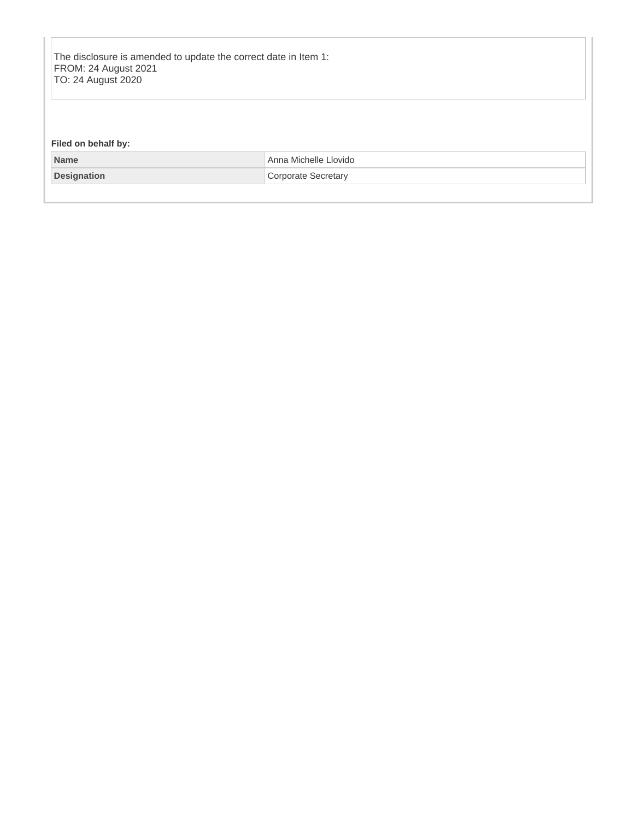The disclosure is amended to update the correct date in Item 1: FROM: 24 August 2021 TO: 24 August 2020

### **Filed on behalf by:**

| Name        | Michelle Llovido<br>Anna |
|-------------|--------------------------|
| Designation | Secretary                |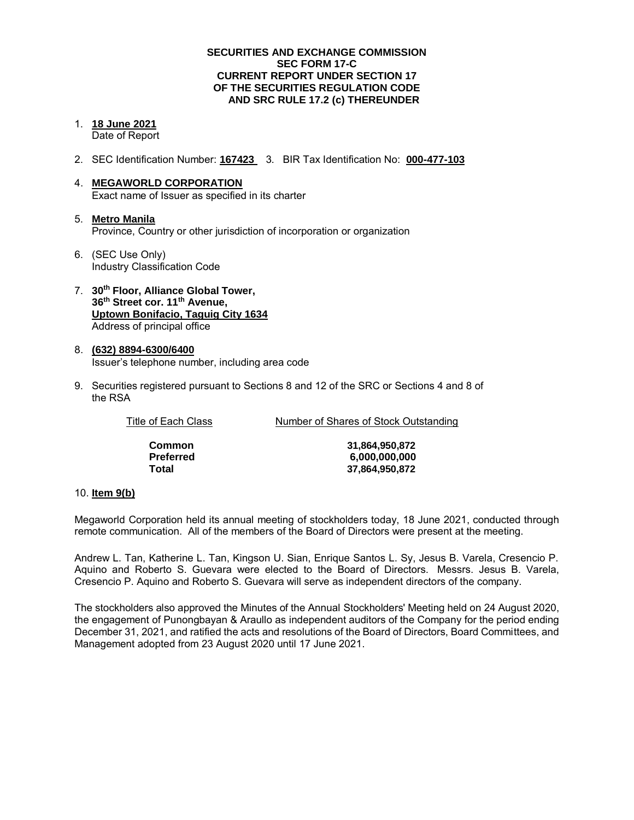#### **SECURITIES AND EXCHANGE COMMISSION SEC FORM 17-C CURRENT REPORT UNDER SECTION 17 OF THE SECURITIES REGULATION CODE AND SRC RULE 17.2 (c) THEREUNDER**

- 1. **18 June 2021**  Date of Report
- 2. SEC Identification Number: **167423** 3. BIR Tax Identification No: **000-477-103**
- 4. **MEGAWORLD CORPORATION**  Exact name of Issuer as specified in its charter
- 5. **Metro Manila** Province, Country or other jurisdiction of incorporation or organization
- 6. (SEC Use Only) Industry Classification Code
- 7. **30th Floor, Alliance Global Tower, 36th Street cor. 11th Avenue, Uptown Bonifacio, Taguig City 1634** Address of principal office
- 8. **(632) 8894-6300/6400**  Issuer's telephone number, including area code
- 9. Securities registered pursuant to Sections 8 and 12 of the SRC or Sections 4 and 8 of the RSA

| Title of Each Class | Number of Shares of Stock Outstanding |
|---------------------|---------------------------------------|
| <b>Common</b>       | 31.864.950.872                        |
| <b>Preferred</b>    | 6.000.000.000                         |
| Total               | 37,864,950,872                        |

#### 10. **Item 9(b)**

Megaworld Corporation held its annual meeting of stockholders today, 18 June 2021, conducted through remote communication. All of the members of the Board of Directors were present at the meeting.

Andrew L. Tan, Katherine L. Tan, Kingson U. Sian, Enrique Santos L. Sy, Jesus B. Varela, Cresencio P. Aquino and Roberto S. Guevara were elected to the Board of Directors. Messrs. Jesus B. Varela, Cresencio P. Aquino and Roberto S. Guevara will serve as independent directors of the company.

The stockholders also approved the Minutes of the Annual Stockholders' Meeting held on 24 August 2020, the engagement of Punongbayan & Araullo as independent auditors of the Company for the period ending December 31, 2021, and ratified the acts and resolutions of the Board of Directors, Board Committees, and Management adopted from 23 August 2020 until 17 June 2021.